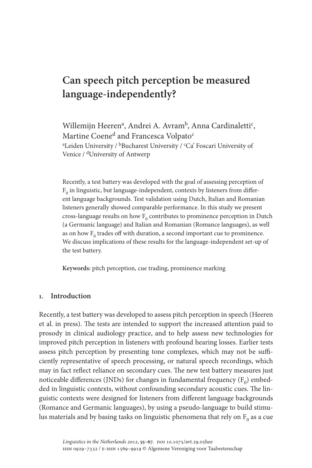# **Can speech pitch perception be measured language-independently?**

Willemijn Heeren<sup>a</sup>, Andrei A. Avram<sup>b</sup>, Anna Cardinaletti<sup>c</sup>, Martine Coene<sup>d</sup> and Francesca Volpato<sup>c</sup> <sup>a</sup>Leiden University / <sup>b</sup>Bucharest University / <sup>c</sup>Ca' Foscari University of Venice / dUniversity of Antwerp

Recently, a test battery was developed with the goal of assessing perception of  $F<sub>0</sub>$  in linguistic, but language-independent, contexts by listeners from different language backgrounds. Test validation using Dutch, Italian and Romanian listeners generally showed comparable performance. In this study we present cross-language results on how  $F_0$  contributes to prominence perception in Dutch (a Germanic language) and Italian and Romanian (Romance languages), as well as on how  $F_0$  trades off with duration, a second important cue to prominence. We discuss implications of these results for the language-independent set-up of the test battery.

**Keywords:** pitch perception, cue trading, prominence marking

## **1. Introduction**

Recently, a test battery was developed to assess pitch perception in speech (Heeren et al. in press). The tests are intended to support the increased attention paid to prosody in clinical audiology practice, and to help assess new technologies for improved pitch perception in listeners with profound hearing losses. Earlier tests assess pitch perception by presenting tone complexes, which may not be sufficiently representative of speech processing, or natural speech recordings, which may in fact reflect reliance on secondary cues. The new test battery measures just noticeable differences (JNDs) for changes in fundamental frequency  $(F_0)$  embedded in linguistic contexts, without confounding secondary acoustic cues. The linguistic contexts were designed for listeners from different language backgrounds (Romance and Germanic languages), by using a pseudo-language to build stimulus materials and by basing tasks on linguistic phenomena that rely on  $F_0$  as a cue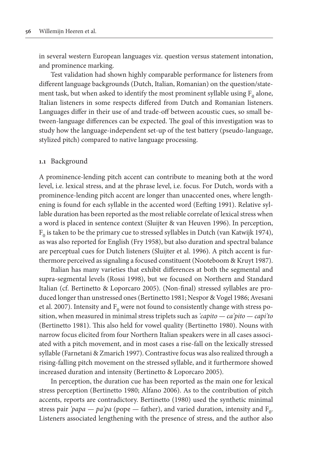in several western European languages viz. question versus statement intonation, and prominence marking.

Test validation had shown highly comparable performance for listeners from different language backgrounds (Dutch, Italian, Romanian) on the question/statement task, but when asked to identify the most prominent syllable using  $F_0$  alone, Italian listeners in some respects differed from Dutch and Romanian listeners. Languages differ in their use of and trade-off between acoustic cues, so small between-language differences can be expected. The goal of this investigation was to study how the language-independent set-up of the test battery (pseudo-language, stylized pitch) compared to native language processing.

#### **1.1** Background

A prominence-lending pitch accent can contribute to meaning both at the word level, i.e. lexical stress, and at the phrase level, i.e. focus. For Dutch, words with a prominence-lending pitch accent are longer than unaccented ones, where lengthening is found for each syllable in the accented word (Eefting 1991). Relative syllable duration has been reported as the most reliable correlate of lexical stress when a word is placed in sentence context (Sluijter & van Heuven 1996). In perception,  $F_0$  is taken to be the primary cue to stressed syllables in Dutch (van Katwijk 1974), as was also reported for English (Fry 1958), but also duration and spectral balance are perceptual cues for Dutch listeners (Sluijter et al. 1996). A pitch accent is furthermore perceived as signaling a focused constituent (Nooteboom & Kruyt 1987).

Italian has many varieties that exhibit differences at both the segmental and supra-segmental levels (Rossi 1998), but we focused on Northern and Standard Italian (cf. Bertinetto & Loporcaro 2005). (Non-final) stressed syllables are produced longer than unstressed ones (Bertinetto 1981; Nespor & Vogel 1986; Avesani et al. 2007). Intensity and  $F_0$  were not found to consistently change with stress position, when measured in minimal stress triplets such as *'capito — ca'pito — capi'to* (Bertinetto 1981). This also held for vowel quality (Bertinetto 1980). Nouns with narrow focus elicited from four Northern Italian speakers were in all cases associated with a pitch movement, and in most cases a rise-fall on the lexically stressed syllable (Farnetani & Zmarich 1997). Contrastive focus was also realized through a rising-falling pitch movement on the stressed syllable, and it furthermore showed increased duration and intensity (Bertinetto & Loporcaro 2005).

In perception, the duration cue has been reported as the main one for lexical stress perception (Bertinetto 1980; Alfano 2006). As to the contribution of pitch accents, reports are contradictory. Bertinetto (1980) used the synthetic minimal stress pair *'papa — pa'pa* (pope — father), and varied duration, intensity and  $F_0$ . Listeners associated lengthening with the presence of stress, and the author also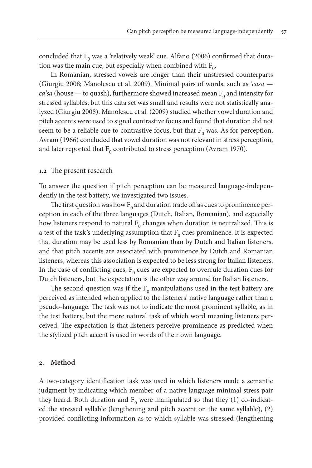concluded that  $F_0$  was a 'relatively weak' cue. Alfano (2006) confirmed that duration was the main cue, but especially when combined with  $F_0$ .

In Romanian, stressed vowels are longer than their unstressed counterparts (Giurgiu 2008; Manolescu et al. 2009). Minimal pairs of words, such as *'casa ca'sa* (house — to quash), furthermore showed increased mean  $F_0$  and intensity for stressed syllables, but this data set was small and results were not statistically analyzed (Giurgiu 2008). Manolescu et al. (2009) studied whether vowel duration and pitch accents were used to signal contrastive focus and found that duration did not seem to be a reliable cue to contrastive focus, but that  $F_0$  was. As for perception, Avram (1966) concluded that vowel duration was not relevant in stress perception, and later reported that  $F_0$  contributed to stress perception (Avram 1970).

#### **1.2** The present research

To answer the question if pitch perception can be measured language-independently in the test battery, we investigated two issues.

The first question was how  $F_0$  and duration trade off as cues to prominence perception in each of the three languages (Dutch, Italian, Romanian), and especially how listeners respond to natural  $F_0$  changes when duration is neutralized. This is a test of the task's underlying assumption that  $F_0$  cues prominence. It is expected that duration may be used less by Romanian than by Dutch and Italian listeners, and that pitch accents are associated with prominence by Dutch and Romanian listeners, whereas this association is expected to be less strong for Italian listeners. In the case of conflicting cues,  $F_0$  cues are expected to overrule duration cues for Dutch listeners, but the expectation is the other way around for Italian listeners.

The second question was if the  $F_0$  manipulations used in the test battery are perceived as intended when applied to the listeners' native language rather than a pseudo-language. The task was not to indicate the most prominent syllable, as in the test battery, but the more natural task of which word meaning listeners perceived. The expectation is that listeners perceive prominence as predicted when the stylized pitch accent is used in words of their own language.

#### **2. Method**

A two-category identification task was used in which listeners made a semantic judgment by indicating which member of a native language minimal stress pair they heard. Both duration and  $F_0$  were manipulated so that they (1) co-indicated the stressed syllable (lengthening and pitch accent on the same syllable), (2) provided conflicting information as to which syllable was stressed (lengthening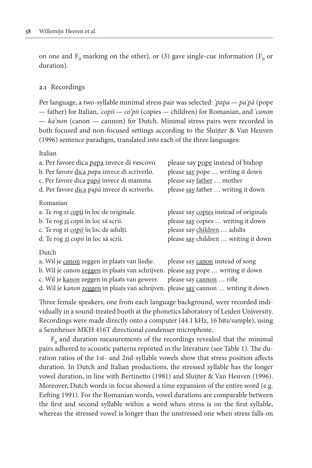on one and  $F_0$  marking on the other), or (3) gave single-cue information ( $F_0$  or duration).

# **2.1** Recordings

Per language, a two-syllable minimal stress pair was selected: *'papa — pa'pà* (pope — father) for Italian, *'copii — co'pii* (copies — children) for Romanian, and *'canon — ka'non* (canon — cannon) for Dutch. Minimal stress pairs were recorded in both focused and non-focused settings according to the Sluijter & Van Heuven (1996) sentence paradigm, translated into each of the three languages:

## Italian

| a. Per favore dica papa invece di vescovo.          | please say pope instead of bishop      |
|-----------------------------------------------------|----------------------------------------|
| b. Per favore <i>dica papa</i> invece di scriverlo. | please say pope  writing it down       |
| c. Per favore dica papà invece di mamma.            | please say father  mother              |
| d. Per favore dica papà invece di scriverlo.        | please say father  writing it down     |
| Romanian                                            |                                        |
| a. Te rog zi copii în loc de originale.             | please say copies instead of originals |
| b. Te rog zi copii în loc să scrii.                 | please say copies  writing it down     |
| c. Te rog zi copii în loc de adulți.                | please say children  adults            |
| d. Te rog zi copii în loc să scrii.                 | please say children  writing it down   |
|                                                     |                                        |

# Dutch

| a. Wil je canon zeggen in plaats van liedje.                                       | please say canon instead of song |
|------------------------------------------------------------------------------------|----------------------------------|
| b. Wil je canon zeggen in plaats van schrijven. please say pope  writing it down   |                                  |
| c. Wil je kanon zeggen in plaats van geweer. please say cannon  rifle              |                                  |
| d. Wil je kanon zeggen in plaats van schrijven. please say cannon  writing it down |                                  |

Three female speakers, one from each language background, were recorded individually in a sound-treated booth at the phonetics laboratory of Leiden University. Recordings were made directly onto a computer (44.1 kHz, 16 bits/sample), using a Sennheiser MKH 416T directional condenser microphone.

 $F<sub>0</sub>$  and duration measurements of the recordings revealed that the minimal pairs adhered to acoustic patterns reported in the literature (see Table 1). The duration ratios of the 1st- and 2nd-syllable vowels show that stress position affects duration. In Dutch and Italian productions, the stressed syllable has the longer vowel duration, in line with Bertinetto (1981) and Sluijter & Van Heuven (1996). Moreover, Dutch words in focus showed a time expansion of the entire word (e.g. Eefting 1991). For the Romanian words, vowel durations are comparable between the first and second syllable within a word when stress is on the first syllable, whereas the stressed vowel is longer than the unstressed one when stress falls on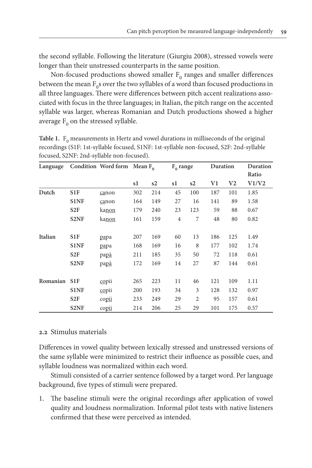the second syllable. Following the literature (Giurgiu 2008), stressed vowels were longer than their unstressed counterparts in the same position.

Non-focused productions showed smaller  $F_0$  ranges and smaller differences between the mean  $F_0$ s over the two syllables of a word than focused productions in all three languages. There were differences between pitch accent realizations associated with focus in the three languages; in Italian, the pitch range on the accented syllable was larger, whereas Romanian and Dutch productions showed a higher average  $F_0$  on the stressed syllable.

|          |                   | focused, S2NF: 2nd-syllable non-focused). |     |     |                |                |          |                |                   |  |
|----------|-------------------|-------------------------------------------|-----|-----|----------------|----------------|----------|----------------|-------------------|--|
| Language |                   | Condition Word form Mean $F_0$            |     |     | $F_0$ range    |                | Duration |                | Duration<br>Ratio |  |
|          |                   |                                           |     |     |                |                |          |                |                   |  |
|          |                   |                                           | s1  | s2  | s1             | s2             | V1       | V <sub>2</sub> | V1/V2             |  |
| Dutch    | S <sub>1</sub> F  | canon                                     | 302 | 214 | 45             | 100            | 187      | 101            | 1.85              |  |
|          | <b>S1NF</b>       | canon                                     | 164 | 149 | 27             | 16             | 141      | 89             | 1.58              |  |
|          | S <sub>2F</sub>   | <u>kanon</u>                              | 179 | 240 | 23             | 123            | 59       | 88             | 0.67              |  |
|          | S <sub>2</sub> NF | ka <u>non</u>                             | 161 | 159 | $\overline{4}$ | 7              | 48       | 80             | 0.82              |  |
| Italian  | S <sub>1</sub> F  | papa                                      | 207 | 169 | 60             | 13             | 186      | 125            | 1.49              |  |
|          | S1NF              | papa                                      | 168 | 169 | 16             | 8              | 177      | 102            | 1.74              |  |
|          | S <sub>2F</sub>   | papà                                      | 211 | 185 | 35             | 50             | 72       | 118            | 0.61              |  |
|          | S <sub>2</sub> NF | papà                                      | 172 | 169 | 14             | 27             | 87       | 144            | 0.61              |  |
| Romanian | S <sub>1</sub> F  | copii                                     | 265 | 223 | 11             | 46             | 121      | 109            | 1.11              |  |
|          | S1NF              | copii                                     | 200 | 193 | 34             | 3              | 128      | 132            | 0.97              |  |
|          | S <sub>2F</sub>   | copii                                     | 233 | 249 | 29             | $\overline{2}$ | 95       | 157            | 0.61              |  |
|          | S <sub>2</sub> NF | copii                                     | 214 | 206 | 25             | 29             | 101      | 175            | 0.57              |  |

**Table 1.**  $F_0$  measurements in Hertz and vowel durations in milliseconds of the original recordings (S1F: 1st-syllable focused, S1NF: 1st-syllable non-focused, S2F: 2nd-syllable

## **2.2** Stimulus materials

Differences in vowel quality between lexically stressed and unstressed versions of the same syllable were minimized to restrict their influence as possible cues, and syllable loudness was normalized within each word.

Stimuli consisted of a carrier sentence followed by a target word. Per language background, five types of stimuli were prepared.

1. The baseline stimuli were the original recordings after application of vowel quality and loudness normalization. Informal pilot tests with native listeners confirmed that these were perceived as intended.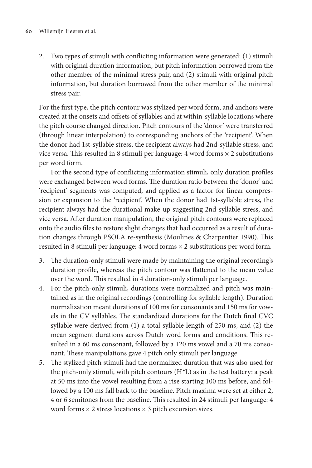2. Two types of stimuli with conflicting information were generated: (1) stimuli with original duration information, but pitch information borrowed from the other member of the minimal stress pair, and (2) stimuli with original pitch information, but duration borrowed from the other member of the minimal stress pair.

For the first type, the pitch contour was stylized per word form, and anchors were created at the onsets and offsets of syllables and at within-syllable locations where the pitch course changed direction. Pitch contours of the 'donor' were transferred (through linear interpolation) to corresponding anchors of the 'recipient'. When the donor had 1st-syllable stress, the recipient always had 2nd-syllable stress, and vice versa. This resulted in 8 stimuli per language: 4 word forms  $\times$  2 substitutions per word form.

For the second type of conflicting information stimuli, only duration profiles were exchanged between word forms. The duration ratio between the 'donor' and 'recipient' segments was computed, and applied as a factor for linear compression or expansion to the 'recipient'. When the donor had 1st-syllable stress, the recipient always had the durational make-up suggesting 2nd-syllable stress, and vice versa. After duration manipulation, the original pitch contours were replaced onto the audio files to restore slight changes that had occurred as a result of duration changes through PSOLA re-synthesis (Moulines & Charpentier 1990). This resulted in 8 stimuli per language: 4 word forms × 2 substitutions per word form.

- 3. The duration-only stimuli were made by maintaining the original recording's duration profile, whereas the pitch contour was flattened to the mean value over the word. This resulted in 4 duration-only stimuli per language.
- 4. For the pitch-only stimuli, durations were normalized and pitch was maintained as in the original recordings (controlling for syllable length). Duration normalization meant durations of 100 ms for consonants and 150 ms for vowels in the CV syllables. The standardized durations for the Dutch final CVC syllable were derived from (1) a total syllable length of 250 ms, and (2) the mean segment durations across Dutch word forms and conditions. This resulted in a 60 ms consonant, followed by a 120 ms vowel and a 70 ms consonant. These manipulations gave 4 pitch only stimuli per language.
- 5. The stylized pitch stimuli had the normalized duration that was also used for the pitch-only stimuli, with pitch contours (H\*L) as in the test battery: a peak at 50 ms into the vowel resulting from a rise starting 100 ms before, and followed by a 100 ms fall back to the baseline. Pitch maxima were set at either 2, 4 or 6 semitones from the baseline. This resulted in 24 stimuli per language: 4 word forms  $\times$  2 stress locations  $\times$  3 pitch excursion sizes.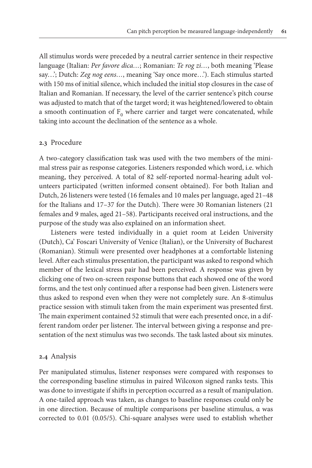All stimulus words were preceded by a neutral carrier sentence in their respective language (Italian: *Per favore dica…*; Romanian: *Te rog zi…*, both meaning 'Please say…'; Dutch: *Zeg nog eens…*, meaning 'Say once more…'). Each stimulus started with 150 ms of initial silence, which included the initial stop closures in the case of Italian and Romanian. If necessary, the level of the carrier sentence's pitch course was adjusted to match that of the target word; it was heightened/lowered to obtain a smooth continuation of  $F_0$  where carrier and target were concatenated, while taking into account the declination of the sentence as a whole.

## **2.3** Procedure

A two-category classification task was used with the two members of the minimal stress pair as response categories. Listeners responded which word, i.e. which meaning, they perceived. A total of 82 self-reported normal-hearing adult volunteers participated (written informed consent obtained). For both Italian and Dutch, 26 listeners were tested (16 females and 10 males per language, aged 21–48 for the Italians and 17–37 for the Dutch). There were 30 Romanian listeners (21 females and 9 males, aged 21–58). Participants received oral instructions, and the purpose of the study was also explained on an information sheet.

Listeners were tested individually in a quiet room at Leiden University (Dutch), Ca' Foscari University of Venice (Italian), or the University of Bucharest (Romanian). Stimuli were presented over headphones at a comfortable listening level. After each stimulus presentation, the participant was asked to respond which member of the lexical stress pair had been perceived. A response was given by clicking one of two on-screen response buttons that each showed one of the word forms, and the test only continued after a response had been given. Listeners were thus asked to respond even when they were not completely sure. An 8-stimulus practice session with stimuli taken from the main experiment was presented first. The main experiment contained 52 stimuli that were each presented once, in a different random order per listener. The interval between giving a response and presentation of the next stimulus was two seconds. The task lasted about six minutes.

## **2.4** Analysis

Per manipulated stimulus, listener responses were compared with responses to the corresponding baseline stimulus in paired Wilcoxon signed ranks tests. This was done to investigate if shifts in perception occurred as a result of manipulation. A one-tailed approach was taken, as changes to baseline responses could only be in one direction. Because of multiple comparisons per baseline stimulus, α was corrected to 0.01 (0.05/5). Chi-square analyses were used to establish whether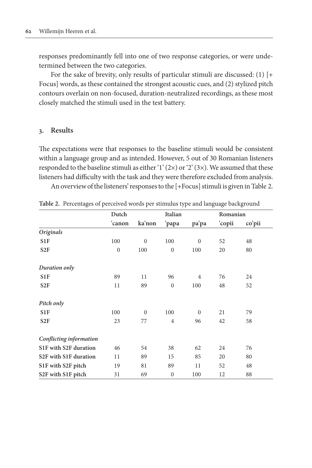responses predominantly fell into one of two response categories, or were undetermined between the two categories.

For the sake of brevity, only results of particular stimuli are discussed: (1) [+ Focus] words, as these contained the strongest acoustic cues, and (2) stylized pitch contours overlain on non-focused, duration-neutralized recordings, as these most closely matched the stimuli used in the test battery.

## **3. Results**

The expectations were that responses to the baseline stimuli would be consistent within a language group and as intended. However, 5 out of 30 Romanian listeners responded to the baseline stimuli as either '1'  $(2\times)$  or '2'  $(3\times)$ . We assumed that these listeners had difficulty with the task and they were therefore excluded from analysis.

An overview of the listeners' responses to the [+Focus] stimuli is given in Table 2.

|                                                | Dutch        |              | Italian          |              |        | Romanian |  |  |
|------------------------------------------------|--------------|--------------|------------------|--------------|--------|----------|--|--|
|                                                | 'canon       | ka'non       | 'papa            | pa'pa        | 'copii | co'pii   |  |  |
| Originals                                      |              |              |                  |              |        |          |  |  |
| S <sub>1</sub> F                               | 100          | $\mathbf{0}$ | 100              | $\mathbf{0}$ | 52     | 48       |  |  |
| S <sub>2F</sub>                                | $\mathbf{0}$ | 100          | $\mathbf{0}$     | 100          | 20     | 80       |  |  |
| Duration only                                  |              |              |                  |              |        |          |  |  |
| S <sub>1</sub> F                               | 89           | 11           | 96               | 4            | 76     | 24       |  |  |
| S <sub>2F</sub>                                | 11           | 89           | $\mathbf{0}$     | 100          | 48     | 52       |  |  |
| Pitch only                                     |              |              |                  |              |        |          |  |  |
| S <sub>1</sub> F                               | 100          | $\mathbf{0}$ | 100              | $\mathbf{0}$ | 21     | 79       |  |  |
| S <sub>2</sub> F                               | 23           | 77           | $\overline{4}$   | 96           | 42     | 58       |  |  |
| Conflicting information                        |              |              |                  |              |        |          |  |  |
| S1F with S2F duration                          | 46           | 54           | 38               | 62           | 24     | 76       |  |  |
| S <sub>2</sub> F with S <sub>1F</sub> duration | 11           | 89           | 15               | 85           | 20     | 80       |  |  |
| S1F with S2F pitch                             | 19           | 81           | 89               | 11           | 52     | 48       |  |  |
| S2F with S1F pitch                             | 31           | 69           | $\boldsymbol{0}$ | 100          | 12     | 88       |  |  |

**Table 2.** Percentages of perceived words per stimulus type and language background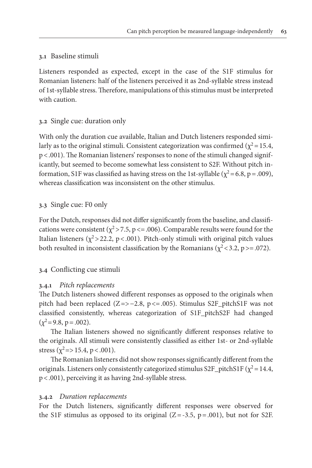# **3.1** Baseline stimuli

Listeners responded as expected, except in the case of the S1F stimulus for Romanian listeners: half of the listeners perceived it as 2nd-syllable stress instead of 1st-syllable stress. Therefore, manipulations of this stimulus must be interpreted with caution.

# **3.2** Single cue: duration only

With only the duration cue available, Italian and Dutch listeners responded similarly as to the original stimuli. Consistent categorization was confirmed ( $\chi^2$  = 15.4, p<.001). The Romanian listeners' responses to none of the stimuli changed significantly, but seemed to become somewhat less consistent to S2F. Without pitch information, S1F was classified as having stress on the 1st-syllable ( $\chi^2$  = 6.8, p = .009), whereas classification was inconsistent on the other stimulus.

# **3.3** Single cue: F0 only

For the Dutch, responses did not differ significantly from the baseline, and classifications were consistent ( $\chi^2$ >7.5, p <= .006). Comparable results were found for the Italian listeners ( $\chi^2$ >22.2, p < .001). Pitch-only stimuli with original pitch values both resulted in inconsistent classification by the Romanians ( $\chi^2$  < 3.2, p > = .072).

# **3.4** Conflicting cue stimuli

## **3.4.1** *Pitch replacements*

The Dutch listeners showed different responses as opposed to the originals when pitch had been replaced (Z=>−2.8, p<=.005). Stimulus S2F\_pitchS1F was not classified consistently, whereas categorization of S1F\_pitchS2F had changed  $(\chi^2 = 9.8, p = .002)$ .

The Italian listeners showed no significantly different responses relative to the originals. All stimuli were consistently classified as either 1st- or 2nd-syllable stress ( $\chi^2$ =>15.4, p < .001).

The Romanian listeners did not show responses significantly different from the originals. Listeners only consistently categorized stimulus S2F\_pitchS1F ( $\chi^2$  = 14.4, p<.001), perceiving it as having 2nd-syllable stress.

# **3.4.2** *Duration replacements*

For the Dutch listeners, significantly different responses were observed for the S1F stimulus as opposed to its original  $(Z=-3.5, p=.001)$ , but not for S2F.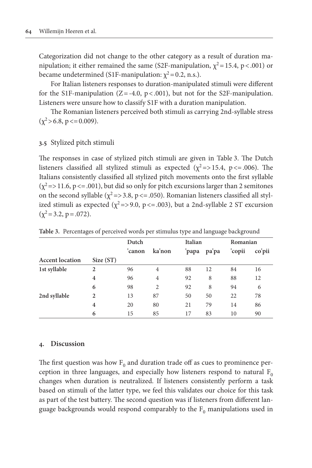Categorization did not change to the other category as a result of duration manipulation; it either remained the same (S2F-manipulation,  $\chi^2$  = 15.4, p < 0.001) or became undetermined (S1F-manipulation:  $\chi^2$  = 0.2, n.s.).

For Italian listeners responses to duration-manipulated stimuli were different for the S1F-manipulation ( $Z = -4.0$ ,  $p < .001$ ), but not for the S2F-manipulation. Listeners were unsure how to classify S1F with a duration manipulation.

The Romanian listeners perceived both stimuli as carrying 2nd-syllable stress  $(\chi^2 > 6.8, p \le 0.009).$ 

# **3.5** Stylized pitch stimuli

The responses in case of stylized pitch stimuli are given in Table 3. The Dutch listeners classified all stylized stimuli as expected ( $\chi^2$  =>15.4, p <= .006). The Italians consistently classified all stylized pitch movements onto the first syllable  $(\chi^2$  =>11.6, p <= .001), but did so only for pitch excursions larger than 2 semitones on the second syllable ( $\chi^2$  =>3.8, p <= .050). Romanian listeners classified all stylized stimuli as expected ( $\chi^2$ =>9.0, p <= .003), but a 2nd-syllable 2 ST excursion  $(\chi^2 = 3.2, p = .072)$ .

|                        |                | Dutch  |        | Italian |       | Romanian |        |
|------------------------|----------------|--------|--------|---------|-------|----------|--------|
|                        |                | 'canon | ka'non | 'papa   | pa'pa | 'copii   | co'pii |
| <b>Accent</b> location | Size (ST)      |        |        |         |       |          |        |
| 1st syllable           | $\overline{c}$ | 96     | 4      | 88      | 12    | 84       | 16     |
|                        | 4              | 96     | 4      | 92      | 8     | 88       | 12     |
|                        | 6              | 98     | 2      | 92      | 8     | 94       | 6      |
| 2nd syllable           | 2              | 13     | 87     | 50      | 50    | 22       | 78     |
|                        | 4              | 20     | 80     | 21      | 79    | 14       | 86     |
|                        | 6              | 15     | 85     | 17      | 83    | 10       | 90     |

**Table 3.** Percentages of perceived words per stimulus type and language background

## **4. Discussion**

The first question was how  $F_0$  and duration trade off as cues to prominence perception in three languages, and especially how listeners respond to natural  $F_0$ changes when duration is neutralized. If listeners consistently perform a task based on stimuli of the latter type, we feel this validates our choice for this task as part of the test battery. The second question was if listeners from different language backgrounds would respond comparably to the  $F_0$  manipulations used in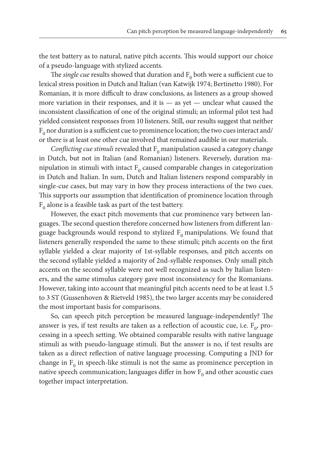the test battery as to natural, native pitch accents. This would support our choice of a pseudo-language with stylized accents.

The *single cue* results showed that duration and  $F_0$  both were a sufficient cue to lexical stress position in Dutch and Italian (van Katwijk 1974; Bertinetto 1980). For Romanian, it is more difficult to draw conclusions, as listeners as a group showed more variation in their responses, and it is — as yet — unclear what caused the inconsistent classification of one of the original stimuli; an informal pilot test had yielded consistent responses from 10 listeners. Still, our results suggest that neither  $F_0$  nor duration is a sufficient cue to prominence location; the two cues interact and/ or there is at least one other cue involved that remained audible in our materials.

*Conflicting cue stimuli revealed that*  $F_0$  manipulation caused a category change in Dutch, but not in Italian (and Romanian) listeners. Reversely, duration manipulation in stimuli with intact  $F_0$  caused comparable changes in categorization in Dutch and Italian. In sum, Dutch and Italian listeners respond comparably in single-cue cases, but may vary in how they process interactions of the two cues. This supports our assumption that identification of prominence location through  $F_0$  alone is a feasible task as part of the test battery.

However, the exact pitch movements that cue prominence vary between languages. The second question therefore concerned how listeners from different language backgrounds would respond to stylized  $F_0$  manipulations. We found that listeners generally responded the same to these stimuli; pitch accents on the first syllable yielded a clear majority of 1st-syllable responses, and pitch accents on the second syllable yielded a majority of 2nd-syllable responses. Only small pitch accents on the second syllable were not well recognized as such by Italian listeners, and the same stimulus category gave most inconsistency for the Romanians. However, taking into account that meaningful pitch accents need to be at least 1.5 to 3 ST (Gussenhoven & Rietveld 1985), the two larger accents may be considered the most important basis for comparisons.

So, can speech pitch perception be measured language-independently? The answer is yes, if test results are taken as a reflection of acoustic cue, i.e.  $F_0$ , processing in a speech setting. We obtained comparable results with native language stimuli as with pseudo-language stimuli. But the answer is no, if test results are taken as a direct reflection of native language processing. Computing a JND for change in  $F_0$  in speech-like stimuli is not the same as prominence perception in native speech communication; languages differ in how  $F_0$  and other acoustic cues together impact interpretation.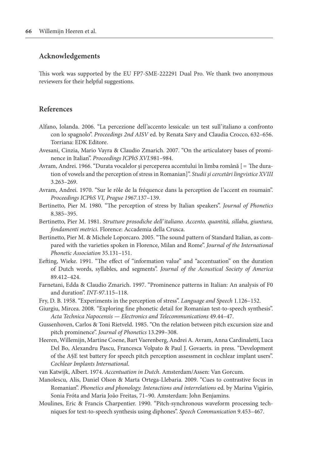## **Acknowledgements**

This work was supported by the EU FP7-SME-222291 Dual Pro. We thank two anonymous reviewers for their helpful suggestions.

# **References**

- Alfano, Iolanda. 2006. "La percezione dell'accento lessicale: un test sull'italiano a confronto con lo spagnolo". *Proceedings 2nd AISV* ed. by Renata Savy and Claudia Crocco, 632–656. Torriana: EDK Editore.
- Avesani, Cinzia, Mario Vayra & Claudio Zmarich. 2007. "On the articulatory bases of prominence in Italian". *Proceedings ICPhS XVI*.981–984.
- Avram, Andrei. 1966. "Durata vocalelor şi perceperea accentului în limba română [= The duration of vowels and the perception of stress in Romanian]". *Studii şi cercetări lingvistice XVIII* 3.263–269.
- Avram, Andrei. 1970. "Sur le rôle de la fréquence dans la perception de l'accent en roumain". *Proceedings ICPhS VI, Prague 1967*.137–139.
- Bertinetto, Pier M. 1980. "The perception of stress by Italian speakers". *Journal of Phonetics* 8.385–395.
- Bertinetto, Pier M. 1981. *Strutture prosodiche dell'italiano. Accento, quantità, sillaba, giuntura, fondamenti metrici.* Florence: Accademia della Crusca.
- Bertinetto, Pier M. & Michele Loporcaro. 2005. "The sound pattern of Standard Italian, as compared with the varieties spoken in Florence, Milan and Rome". *Journal of the International Phonetic Association* 35.131–151.
- Eefting, Wieke. 1991. "The effect of "information value" and "accentuation" on the duration of Dutch words, syllables, and segments". *Journal of the Acoustical Society of America* 89.412–424.
- Farnetani, Edda & Claudio Zmarich. 1997. "Prominence patterns in Italian: An analysis of F0 and duration". *INT-97*.115–118.
- Fry, D. B. 1958. "Experiments in the perception of stress". *Language and Speech* 1.126–152.
- Giurgiu, Mircea. 2008. "Exploring fine phonetic detail for Romanian test-to-speech synthesis". *Acta Technica Napocensis — Electronics and Telecommunications* 49.44–47.
- Gussenhoven, Carlos & Toni Rietveld. 1985. "On the relation between pitch excursion size and pitch prominence". *Journal of Phonetics* 13.299–308.
- Heeren, Willemijn, Martine Coene, Bart Vaerenberg, Andrei A. Avram, Anna Cardinaletti, Luca Del Bo, Alexandru Pascu, Francesca Volpato & Paul J. Govaerts. in press. "Development of the A§E test battery for speech pitch perception assessment in cochlear implant users". *Cochlear Implants International*.
- van Katwijk, Albert. 1974. *Accentuation in Dutch*. Amsterdam/Assen: Van Gorcum.
- Manolescu, Alis, Daniel Olson & Marta Ortega-Llebaria. 2009. "Cues to contrastive focus in Romanian". *Phonetics and phonology. Interactions and interrelations* ed. by Marina Vigário, Sonia Fróta and Maria João Freitas, 71–90. Amsterdam: John Benjamins.
- Moulines, Eric & Francis Charpentier. 1990. "Pitch-synchronous waveform processing techniques for text-to-speech synthesis using diphones". *Speech Communication* 9.453–467.